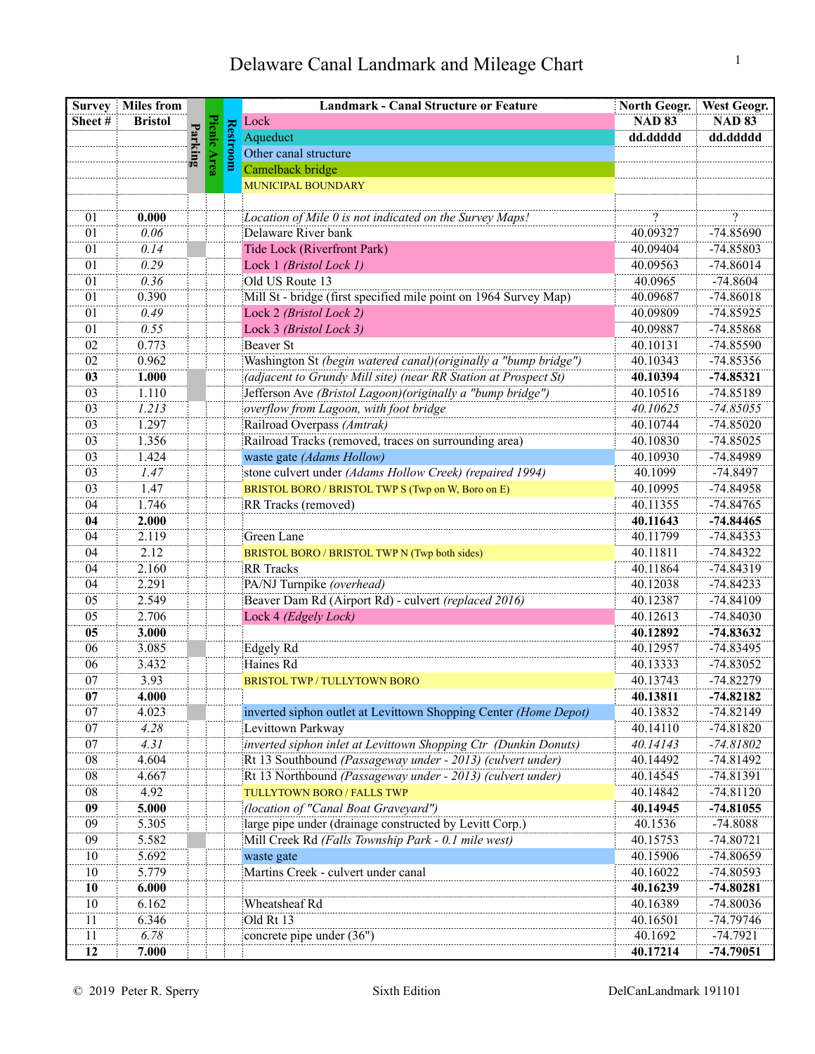| <b>Survey</b> | <b>Miles from</b> |                           |        |                 | <b>Landmark - Canal Structure or Feature</b>                     | North Geogr.  | <b>West Geogr.</b> |
|---------------|-------------------|---------------------------|--------|-----------------|------------------------------------------------------------------|---------------|--------------------|
| Sheet#        | <b>Bristol</b>    |                           |        |                 | Lock                                                             | <b>NAD 83</b> | <b>NAD 83</b>      |
|               |                   | $\mathbf{P}_{\mathbf{a}}$ | Picmic |                 | Aqueduct                                                         | dd.ddddd      | dd.ddddd           |
|               |                   |                           |        | <b>Restroom</b> | Other canal structure                                            |               |                    |
|               |                   |                           |        |                 | Camelback bridge                                                 |               |                    |
|               |                   |                           |        |                 | MUNICIPAL BOUNDARY                                               |               |                    |
|               |                   |                           |        |                 |                                                                  |               |                    |
| 01            | 0.000             |                           |        |                 | Location of Mile 0 is not indicated on the Survey Maps!          | $\gamma$      | $\gamma$           |
| 01            | 0.06              |                           |        |                 | Delaware River bank                                              | 40.09327      | -74.85690          |
| 01            | 0.14              |                           |        |                 | Tide Lock (Riverfront Park)                                      | 40.09404      | -74.85803          |
| 01            | 0.29              |                           |        |                 | Lock 1 (Bristol Lock 1)                                          | 40.09563      | $-74.86014$        |
| 01            | 0.36              |                           |        |                 | Old US Route 13                                                  | 40.0965       | $-74.8604$         |
| 01            | 0.390             |                           |        |                 | Mill St - bridge (first specified mile point on 1964 Survey Map) | 40.09687      | $-74.86018$        |
| 01            | 0.49              |                           |        |                 | Lock 2 (Bristol Lock 2)                                          | 40.09809      | $-74.85925$        |
| 01            | 0.55              |                           |        |                 | Lock 3 (Bristol Lock 3)                                          | 40.09887      | -74.85868          |
| 02            | 0.773             |                           |        |                 | <b>Beaver St</b>                                                 | 40.10131      | -74.85590          |
| 02            | 0.962             |                           |        |                 | Washington St (begin watered canal) (originally a "bump bridge") | 40.10343      | $-74.85356$        |
| 03            | 1.000             |                           |        |                 | (adjacent to Grundy Mill site) (near RR Station at Prospect St)  | 40.10394      | $-74.85321$        |
| 03            | 1.110             |                           |        |                 | Jefferson Ave (Bristol Lagoon) (originally a "bump bridge")      | 40.10516      | -74.85189          |
| 03            | 1.213             |                           |        |                 | overflow from Lagoon, with foot bridge                           | 40.10625      | $-74.85055$        |
| 03            | 1.297             |                           |        |                 | Railroad Overpass (Amtrak)                                       | 40.10744      | $-74.85020$        |
| 03            | 1.356             |                           |        |                 | Railroad Tracks (removed, traces on surrounding area)            | 40.10830      | $-74.85025$        |
| 03            | 1.424             |                           |        |                 | waste gate (Adams Hollow)                                        | 40.10930      | -74.84989          |
| 03            | 1.47              |                           |        |                 | stone culvert under (Adams Hollow Creek) (repaired 1994)         | 40.1099       | $-74.8497$         |
| 03            | 1.47              |                           |        |                 | BRISTOL BORO / BRISTOL TWP S (Twp on W, Boro on E)               | 40.10995      | -74.84958          |
| 04            | 1.746             |                           |        |                 | RR Tracks (removed)                                              | 40.11355      | -74.84765          |
| 04            | 2.000             |                           |        |                 |                                                                  | 40.11643      | $-74.84465$        |
| 04            | 2.119             |                           |        |                 | Green Lane                                                       | 40.11799      | $-74.84353$        |
| 04            | 2.12              |                           |        |                 | BRISTOL BORO / BRISTOL TWP N (Twp both sides)                    | 40.11811      | $-74.84322$        |
| 04            | 2.160             |                           |        |                 | <b>RR</b> Tracks                                                 | 40.11864      | $-74.84319$        |
| 04            | 2.291             |                           |        |                 | PA/NJ Turnpike (overhead)                                        | 40.12038      | $-74.84233$        |
| 05            | 2.549             |                           |        |                 | Beaver Dam Rd (Airport Rd) - culvert (replaced 2016)             | 40.12387      | -74.84109          |
| 05            | 2.706             |                           |        |                 | Lock 4 (Edgely Lock)                                             | 40.12613      | $-74.84030$        |
| 05            | 3.000             |                           |        |                 |                                                                  | 40.12892      | $-74.83632$        |
| 06            | 3.085             |                           |        |                 | Edgely Rd                                                        | 40.12957      | $-74.83495$        |
| 06            | 3.432             |                           |        |                 | Haines Rd                                                        | 40.13333      | $-74.83052$        |
| 07            | 3.93              |                           |        |                 | <b>BRISTOL TWP / TULLYTOWN BORO</b>                              | 40.13743      | $-74.82279$        |
| 07            | 4.000             |                           |        |                 |                                                                  | 40.13811      | -74.82182          |
| 07            | 4.023             |                           |        |                 | inverted siphon outlet at Levittown Shopping Center (Home Depot) | 40.13832      | $-74.82149$        |
| 07            | 4.28              |                           |        |                 | Levittown Parkway                                                | 40.14110      | $-74.81820$        |
| 07            | 4.31              |                           |        |                 | inverted siphon inlet at Levittown Shopping Ctr (Dunkin Donuts)  | 40.14143      | $-74.81802$        |
| 08            | 4.604             |                           |        |                 | Rt 13 Southbound (Passageway under - 2013) (culvert under)       | 40.14492      | $-74.81492$        |
| 08            | 4.667             |                           |        |                 | Rt 13 Northbound (Passageway under - 2013) (culvert under)       | 40.14545      | -74.81391          |
| 08            | 4.92              |                           |        |                 | TULLYTOWN BORO / FALLS TWP                                       | 40.14842      | $-74.81120$        |
| 09            | 5.000             |                           |        |                 | (location of "Canal Boat Graveyard")                             | 40.14945      | $-74.81055$        |
| 09            | 5.305             |                           |        |                 | large pipe under (drainage constructed by Levitt Corp.)          | 40.1536       | $-74.8088$         |
| 09            | 5.582             |                           |        |                 | Mill Creek Rd (Falls Township Park - 0.1 mile west)              | 40.15753      | $-74.80721$        |
| 10            | 5.692             |                           |        |                 | waste gate                                                       | 40.15906      | -74.80659          |
| 10            | 5.779             |                           |        |                 | Martins Creek - culvert under canal                              | 40.16022      | -74.80593          |
| 10            | 6.000             |                           |        |                 |                                                                  | 40.16239      | $-74.80281$        |
| 10            | 6.162             |                           |        |                 | Wheatsheaf Rd                                                    | 40.16389      | $-74.80036$        |
| 11            | 6.346             |                           |        |                 | Old Rt 13                                                        | 40.16501      | -74.79746          |
| 11            | 6.78              |                           |        |                 | concrete pipe under (36")                                        | 40.1692       | $-74.7921$         |
| 12            | 7.000             |                           |        |                 |                                                                  | 40.17214      | $-74.79051$        |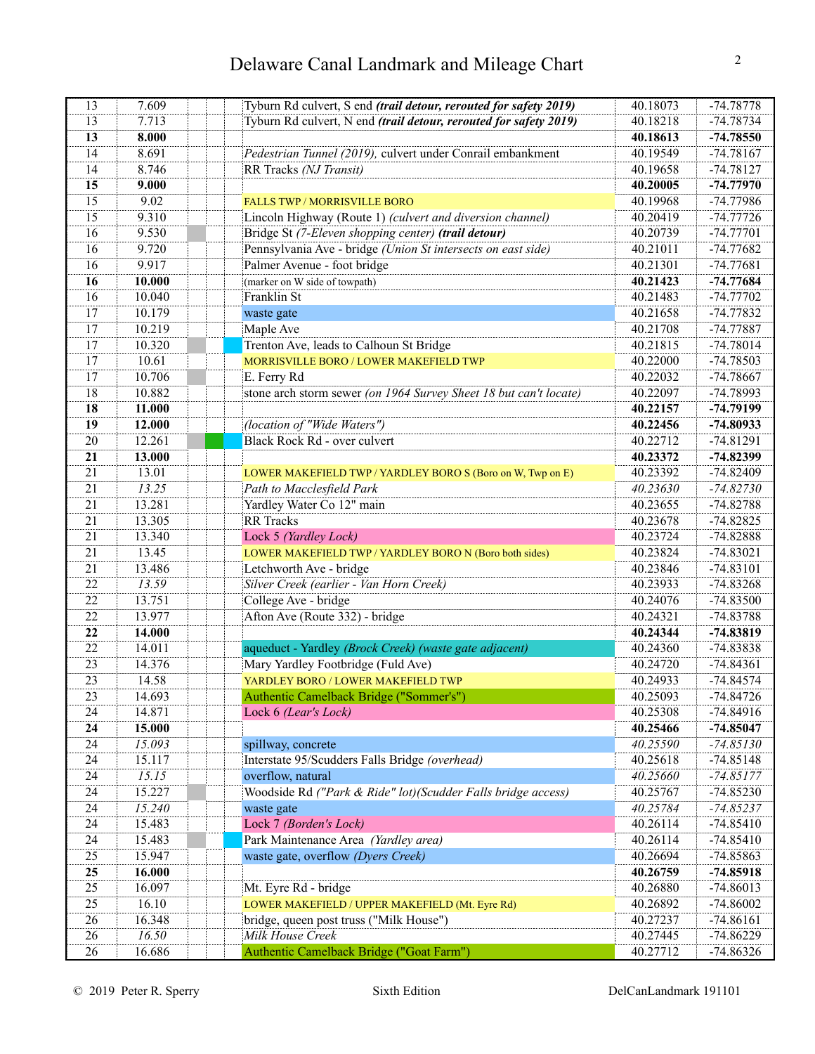| 13              | 7.609  | Tyburn Rd culvert, S end (trail detour, rerouted for safety 2019) | 40.18073 | -74.78778   |
|-----------------|--------|-------------------------------------------------------------------|----------|-------------|
| 13              | 7.713  | Tyburn Rd culvert, N end (trail detour, rerouted for safety 2019) | 40.18218 | $-74.78734$ |
| 13              | 8.000  |                                                                   | 40.18613 | $-74.78550$ |
| 14              | 8.691  | Pedestrian Tunnel (2019), culvert under Conrail embankment        | 40.19549 | $-74.78167$ |
| 14              | 8.746  | RR Tracks (NJ Transit)                                            | 40.19658 | $-74.78127$ |
| 15              | 9.000  |                                                                   | 40.20005 | $-74.77970$ |
| 15              | 9.02   | <b>FALLS TWP / MORRISVILLE BORO</b>                               | 40.19968 | -74.77986   |
| 15              | 9.310  | Lincoln Highway (Route 1) (culvert and diversion channel)         | 40.20419 | $-74.77726$ |
| 16              | 9.530  | Bridge St (7-Eleven shopping center) (trail detour)               | 40.20739 | $-74.77701$ |
| 16              | 9.720  | Pennsylvania Ave - bridge (Union St intersects on east side)      | 40.21011 | $-74.77682$ |
| 16              | 9.917  | Palmer Avenue - foot bridge                                       | 40.21301 | $-74.77681$ |
| 16              | 10.000 | (marker on W side of towpath)                                     | 40.21423 | $-74.77684$ |
| 16              | 10.040 | Franklin St                                                       | 40.21483 | $-74.77702$ |
| 17              | 10.179 | waste gate                                                        | 40.21658 | $-74.77832$ |
| 17              | 10.219 | Maple Ave                                                         | 40.21708 | -74.77887   |
| 17              | 10.320 | Trenton Ave, leads to Calhoun St Bridge                           | 40.21815 | $-74.78014$ |
| 17              | 10.61  | MORRISVILLE BORO / LOWER MAKEFIELD TWP                            | 40.22000 | -74.78503   |
| 17              | 10.706 | E. Ferry Rd                                                       | 40.22032 | -74.78667   |
| 18              | 10.882 | stone arch storm sewer (on 1964 Survey Sheet 18 but can't locate) | 40.22097 | -74.78993   |
| 18              | 11.000 |                                                                   | 40.22157 | $-74.79199$ |
| 19              | 12.000 | (location of "Wide Waters")                                       | 40.22456 | $-74.80933$ |
| 20              | 12.261 | Black Rock Rd - over culvert                                      | 40.22712 | $-74.81291$ |
| 21              | 13.000 |                                                                   | 40.23372 | $-74.82399$ |
| 21              | 13.01  | LOWER MAKEFIELD TWP / YARDLEY BORO S (Boro on W, Twp on E)        | 40.23392 | $-74.82409$ |
| 21              | 13.25  | Path to Macclesfield Park                                         | 40.23630 | $-74.82730$ |
| 21              | 13.281 | Yardley Water Co 12" main                                         | 40.23655 | $-74.82788$ |
| $\overline{21}$ | 13.305 | <b>RR</b> Tracks                                                  | 40.23678 | $-74.82825$ |
| $\overline{21}$ | 13.340 | Lock 5 (Yardley Lock)                                             | 40.23724 | $-74.82888$ |
| 21              | 13.45  | LOWER MAKEFIELD TWP / YARDLEY BORO N (Boro both sides)            | 40.23824 | $-74.83021$ |
| 21              | 13.486 | Letchworth Ave - bridge                                           | 40.23846 | $-74.83101$ |
| 22              | 13.59  | Silver Creek (earlier - Van Horn Creek)                           | 40.23933 | $-74.83268$ |
| 22              | 13.751 | College Ave - bridge                                              | 40.24076 | $-74.83500$ |
| 22              | 13.977 | Afton Ave (Route 332) - bridge                                    | 40.24321 | $-74.83788$ |
| 22              | 14.000 |                                                                   | 40.24344 | $-74.83819$ |
| 22              | 14.011 | aqueduct - Yardley (Brock Creek) (waste gate adjacent)            | 40.24360 | $-74.83838$ |
| $\overline{23}$ | 14.376 | Mary Yardley Footbridge (Fuld Ave)                                | 40.24720 | $-74.84361$ |
| 23              | 14.58  | YARDLEY BORO / LOWER MAKEFIELD TWP                                | 40.24933 | $-74.84574$ |
| 23              | 14.693 | Authentic Camelback Bridge ("Sommer's")                           | 40.25093 | $-74.84726$ |
| 24              | 14.871 | Lock 6 (Lear's Lock)                                              | 40.25308 | -74.84916   |
| 24              | 15.000 |                                                                   | 40.25466 | $-74.85047$ |
| 24              | 15.093 | spillway, concrete                                                | 40.25590 | $-74.85130$ |
| 24              | 15.117 | Interstate 95/Scudders Falls Bridge (overhead)                    | 40.25618 | $-74.85148$ |
| 24              | 15.15  | overflow, natural                                                 | 40.25660 | $-74.85177$ |
| 24              | 15.227 | Woodside Rd ("Park & Ride" lot) (Scudder Falls bridge access)     | 40.25767 | $-74.85230$ |
| 24              | 15.240 | waste gate                                                        | 40.25784 | $-74.85237$ |
| 24              | 15.483 | Lock 7 (Borden's Lock)                                            | 40.26114 | $-74.85410$ |
| 24              | 15.483 | Park Maintenance Area (Yardley area)                              | 40.26114 | $-74.85410$ |
| 25              | 15.947 | waste gate, overflow (Dyers Creek)                                | 40.26694 | -74.85863   |
| 25              | 16.000 |                                                                   | 40.26759 | $-74.85918$ |
| 25              | 16.097 | Mt. Eyre Rd - bridge                                              | 40.26880 | $-74.86013$ |
| 25              | 16.10  | LOWER MAKEFIELD / UPPER MAKEFIELD (Mt. Eyre Rd)                   | 40.26892 | $-74.86002$ |
| 26              | 16.348 | bridge, queen post truss ("Milk House")                           | 40.27237 | $-74.86161$ |
| 26              | 16.50  | Milk House Creek                                                  | 40.27445 | $-74.86229$ |
| 26              | 16.686 | Authentic Camelback Bridge ("Goat Farm")                          | 40.27712 | $-74.86326$ |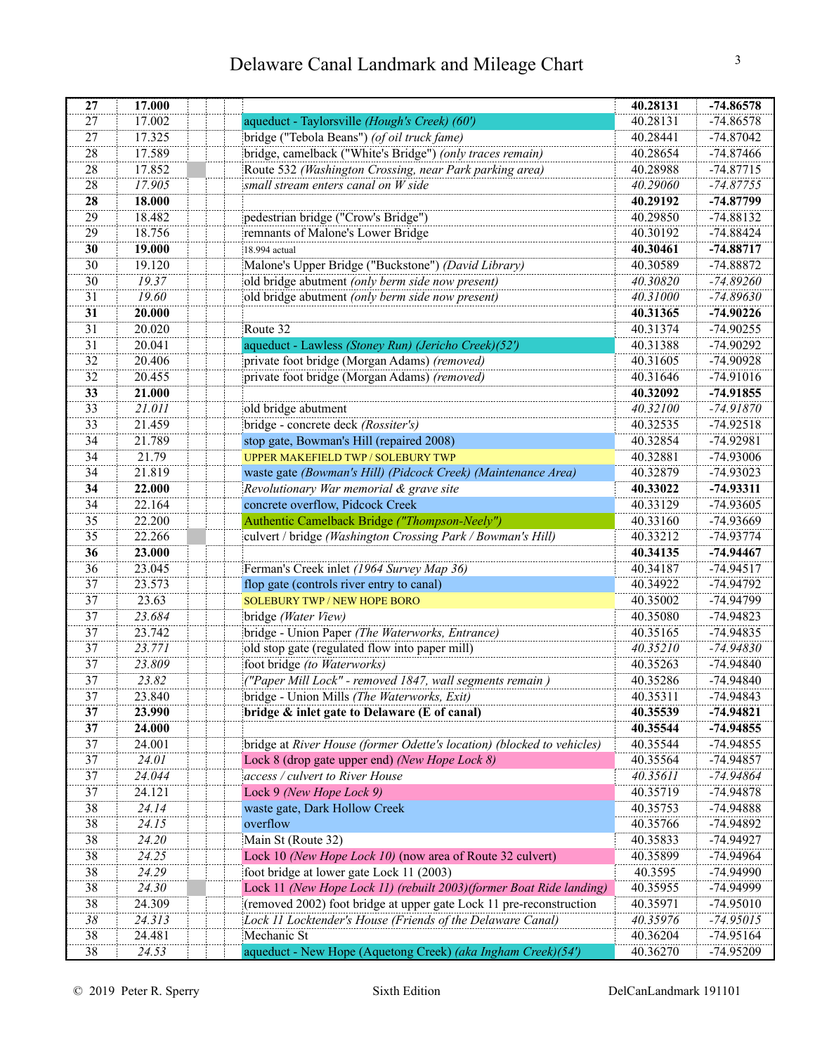| 27 | 17.000       |                                                                        | 40.28131 | $-74.86578$ |
|----|--------------|------------------------------------------------------------------------|----------|-------------|
| 27 | 17.002       | aqueduct - Taylorsville (Hough's Creek) (60')                          | 40.28131 | $-74.86578$ |
| 27 | 17.325       | bridge ("Tebola Beans") (of oil truck fame)                            | 40.28441 | $-74.87042$ |
| 28 | 17.589       | bridge, camelback ("White's Bridge") (only traces remain)              | 40.28654 | $-74.87466$ |
| 28 | 17.852       | Route 532 (Washington Crossing, near Park parking area)                | 40.28988 | $-74.87715$ |
| 28 | 17.905       | small stream enters canal on W side                                    | 40.29060 | $-74.87755$ |
| 28 | 18.000       |                                                                        | 40.29192 | $-74.87799$ |
| 29 | 18.482       | pedestrian bridge ("Crow's Bridge")                                    | 40.29850 | -74.88132   |
| 29 | 18.756       | remnants of Malone's Lower Bridge                                      | 40.30192 | $-74.88424$ |
| 30 | 19.000       | 18.994 actual                                                          | 40.30461 | $-74.88717$ |
| 30 | 19.120       | Malone's Upper Bridge ("Buckstone") (David Library)                    | 40.30589 | -74.88872   |
| 30 | 19.37        | old bridge abutment (only berm side now present)                       | 40.30820 | $-74.89260$ |
| 31 | 19.60        | old bridge abutment (only berm side now present)                       | 40.31000 | $-74.89630$ |
| 31 | 20.000       |                                                                        | 40.31365 | $-74.90226$ |
| 31 | 20.020       | Route 32                                                               | 40.31374 | $-74.90255$ |
| 31 | 20.041       | aqueduct - Lawless (Stoney Run) (Jericho Creek)(52')                   | 40.31388 | -74.90292   |
| 32 | 20.406       | private foot bridge (Morgan Adams) (removed)                           | 40.31605 | -74.90928   |
| 32 | 20.455       | private foot bridge (Morgan Adams) (removed)                           | 40.31646 | -74.91016   |
| 33 | 21.000       |                                                                        | 40.32092 | $-74.91855$ |
| 33 | 21.011       | old bridge abutment                                                    | 40.32100 | $-74.91870$ |
| 33 | 21.459       | bridge - concrete deck (Rossiter's)                                    | 40.32535 | $-74.92518$ |
| 34 | 21.789       | stop gate, Bowman's Hill (repaired 2008)                               | 40.32854 | -74.92981   |
| 34 | 21.79        | <b>UPPER MAKEFIELD TWP / SOLEBURY TWP</b>                              | 40.32881 | -74.93006   |
| 34 | 21.819       | waste gate (Bowman's Hill) (Pidcock Creek) (Maintenance Area)          | 40.32879 | $-74.93023$ |
| 34 | 22.000       | Revolutionary War memorial & grave site                                | 40.33022 | $-74.93311$ |
| 34 | 22.164       | concrete overflow, Pidcock Creek                                       | 40.33129 | -74.93605   |
| 35 | 22.200       | Authentic Camelback Bridge ("Thompson-Neely")                          | 40.33160 | -74.93669   |
| 35 | 22.266       | culvert / bridge (Washington Crossing Park / Bowman's Hill)            | 40.33212 | $-74.93774$ |
| 36 | 23.000       |                                                                        | 40.34135 | $-74.94467$ |
| 36 | 23.045       | Ferman's Creek inlet (1964 Survey Map 36)                              | 40.34187 | $-74.94517$ |
| 37 | 23.573       | flop gate (controls river entry to canal)                              | 40.34922 | -74.94792   |
| 37 | 23.63        | <b>SOLEBURY TWP / NEW HOPE BORO</b>                                    | 40.35002 | -74.94799   |
| 37 | 23.684       | bridge (Water View)                                                    | 40.35080 | $-74.94823$ |
| 37 | 23.742       | bridge - Union Paper (The Waterworks, Entrance)                        | 40.35165 | -74.94835   |
| 37 | 23.771       | old stop gate (regulated flow into paper mill)                         | 40.35210 | $-74.94830$ |
| 37 | 23.809       | foot bridge (to Waterworks)                                            | 40.35263 | -74.94840   |
| 37 | 23.82        | ("Paper Mill Lock" - removed 1847, wall segments remain)               | 40.35286 | -74.94840   |
| 37 | 23.840       | bridge - Union Mills <i>(The Waterworks, Exit)</i>                     | 40.35311 | -74.94843   |
| 37 | 23.990       | bridge & inlet gate to Delaware (E of canal)                           | 40.35539 | $-74.94821$ |
| 37 | 24.000       |                                                                        | 40.35544 | $-74.94855$ |
| 37 | 24.001       | bridge at River House (former Odette's location) (blocked to vehicles) | 40.35544 | -74.94855   |
| 37 | <i>24.01</i> | Lock 8 (drop gate upper end) (New Hope Lock 8)                         | 40.35564 | -74.94857   |
| 37 | 24.044       | access / culvert to River House                                        | 40.35611 | -74.94864   |
| 37 | 24.121       | Lock 9 (New Hope Lock 9)                                               | 40.35719 | -74.94878   |
| 38 | 24.14        | waste gate, Dark Hollow Creek                                          | 40.35753 | -74.94888   |
| 38 | 24.15        | overflow                                                               | 40.35766 | -74.94892   |
| 38 | 24.20        | Main St (Route 32)                                                     | 40.35833 | -74.94927   |
| 38 | 24.25        | Lock 10 (New Hope Lock 10) (now area of Route 32 culvert)              | 40.35899 | -74.94964   |
| 38 | 24.29        | foot bridge at lower gate Lock 11 (2003)                               | 40.3595  | -74.94990   |
| 38 | 24.30        | Lock 11 (New Hope Lock 11) (rebuilt 2003)(former Boat Ride landing)    | 40.35955 | -74.94999   |
| 38 | 24.309       | (removed 2002) foot bridge at upper gate Lock 11 pre-reconstruction    | 40.35971 | -74.95010   |
| 38 | 24.313       | Lock 11 Locktender's House (Friends of the Delaware Canal)             | 40.35976 | $-74.95015$ |
| 38 | 24.481       | Mechanic St                                                            | 40.36204 | $-74.95164$ |
| 38 | 24.53        | aqueduct - New Hope (Aquetong Creek) (aka Ingham Creek) (54')          | 40.36270 | -74.95209   |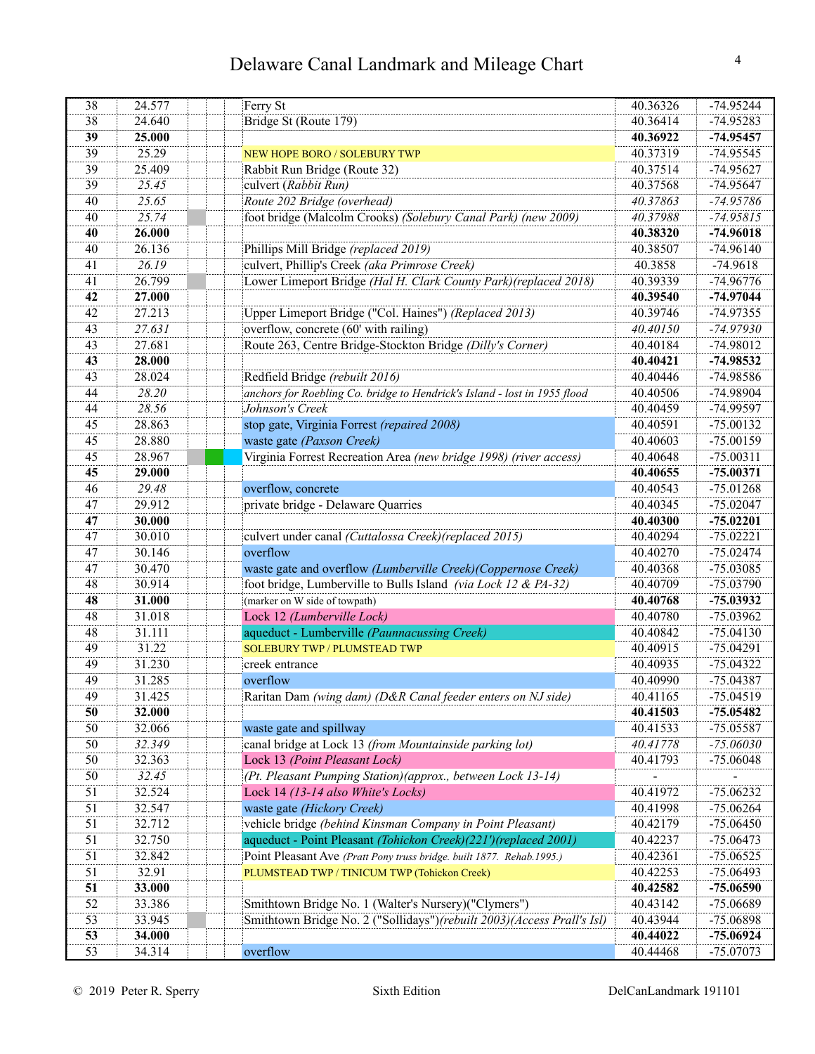| 38 | 24.577 | Ferry St                                                                  | 40.36326 | $-74.95244$ |
|----|--------|---------------------------------------------------------------------------|----------|-------------|
| 38 | 24.640 | Bridge St (Route 179)                                                     | 40.36414 | -74.95283   |
| 39 | 25.000 |                                                                           | 40.36922 | $-74.95457$ |
| 39 | 25.29  | <b>NEW HOPE BORO / SOLEBURY TWP</b>                                       | 40.37319 | -74.95545   |
| 39 | 25.409 | Rabbit Run Bridge (Route 32)                                              | 40.37514 | -74.95627   |
| 39 | 25.45  | culvert (Rabbit Run)                                                      | 40.37568 | -74.95647   |
| 40 | 25.65  | Route 202 Bridge (overhead)                                               | 40.37863 | $-74.95786$ |
| 40 | 25.74  | foot bridge (Malcolm Crooks) (Solebury Canal Park) (new 2009)             | 40.37988 | $-74.95815$ |
| 40 | 26.000 |                                                                           | 40.38320 | $-74.96018$ |
| 40 | 26.136 | Phillips Mill Bridge (replaced 2019)                                      | 40.38507 | $-74.96140$ |
| 41 | 26.19  | culvert, Phillip's Creek (aka Primrose Creek)                             | 40.3858  | $-74.9618$  |
| 41 | 26.799 | Lower Limeport Bridge (Hal H. Clark County Park) (replaced 2018)          | 40.39339 | -74.96776   |
| 42 | 27.000 |                                                                           | 40.39540 | $-74.97044$ |
| 42 | 27.213 | Upper Limeport Bridge ("Col. Haines") (Replaced 2013)                     | 40.39746 | $-74.97355$ |
| 43 | 27.631 | overflow, concrete (60' with railing)                                     | 40.40150 | $-74.97930$ |
| 43 | 27.681 | Route 263, Centre Bridge-Stockton Bridge (Dilly's Corner)                 | 40.40184 | -74.98012   |
| 43 | 28.000 |                                                                           | 40.40421 | -74.98532   |
| 43 | 28.024 | Redfield Bridge (rebuilt 2016)                                            | 40.40446 | -74.98586   |
| 44 | 28.20  | anchors for Roebling Co. bridge to Hendrick's Island - lost in 1955 flood | 40.40506 | -74.98904   |
| 44 | 28.56  | Johnson's Creek                                                           | 40.40459 | -74.99597   |
| 45 | 28.863 | stop gate, Virginia Forrest (repaired 2008)                               | 40.40591 | $-75.00132$ |
| 45 | 28.880 | waste gate (Paxson Creek)                                                 | 40.40603 | $-75.00159$ |
| 45 | 28.967 | Virginia Forrest Recreation Area (new bridge 1998) (river access)         | 40.40648 | $-75.00311$ |
| 45 | 29.000 |                                                                           | 40.40655 | $-75.00371$ |
| 46 | 29.48  | overflow, concrete                                                        | 40.40543 | $-75.01268$ |
| 47 | 29.912 | private bridge - Delaware Quarries                                        | 40.40345 | $-75.02047$ |
| 47 | 30.000 |                                                                           | 40.40300 | $-75.02201$ |
| 47 | 30.010 | culvert under canal (Cuttalossa Creek)(replaced 2015)                     | 40.40294 | $-75.02221$ |
| 47 | 30.146 | overflow                                                                  | 40.40270 | $-75.02474$ |
| 47 | 30.470 | waste gate and overflow (Lumberville Creek) (Coppernose Creek)            | 40.40368 | -75.03085   |
| 48 | 30.914 | foot bridge, Lumberville to Bulls Island (via Lock 12 & PA-32)            | 40.40709 | -75.03790   |
| 48 | 31.000 | (marker on W side of towpath)                                             | 40.40768 | -75.03932   |
| 48 | 31.018 | Lock 12 (Lumberville Lock)                                                | 40.40780 | -75.03962   |
| 48 | 31.111 | aqueduct - Lumberville (Paunnacussing Creek)                              | 40.40842 | $-75.04130$ |
| 49 | 31.22  | <b>SOLEBURY TWP / PLUMSTEAD TWP</b>                                       | 40.40915 | $-75.04291$ |
| 49 | 31.230 | creek entrance                                                            | 40.40935 | $-75.04322$ |
| 49 | 31.285 | overflow                                                                  | 40.40990 | $-75.04387$ |
| 49 | 31.425 | Raritan Dam (wing dam) (D&R Canal feeder enters on NJ side)               | 40.41165 | $-75.04519$ |
| 50 | 32.000 |                                                                           | 40.41503 | $-75.05482$ |
| 50 | 32.066 | waste gate and spillway                                                   | 40.41533 | -75.05587   |
| 50 | 32.349 | canal bridge at Lock 13 (from Mountainside parking lot)                   | 40.41778 | $-75.06030$ |
| 50 | 32.363 | Lock 13 (Point Pleasant Lock)                                             | 40.41793 | $-75.06048$ |
| 50 | 32.45  | (Pt. Pleasant Pumping Station) (approx., between Lock 13-14)              |          |             |
| 51 | 32.524 | Lock 14 (13-14 also White's Locks)                                        | 40.41972 | $-75.06232$ |
| 51 | 32.547 | waste gate (Hickory Creek)                                                | 40.41998 | $-75.06264$ |
| 51 | 32.712 | vehicle bridge (behind Kinsman Company in Point Pleasant)                 | 40.42179 | $-75.06450$ |
| 51 | 32.750 | aqueduct - Point Pleasant (Tohickon Creek)(221')(replaced 2001)           | 40.42237 | $-75.06473$ |
| 51 | 32.842 | Point Pleasant Ave (Pratt Pony truss bridge. built 1877. Rehab.1995.)     | 40.42361 | $-75.06525$ |
| 51 | 32.91  | PLUMSTEAD TWP / TINICUM TWP (Tohickon Creek)                              | 40.42253 | $-75.06493$ |
| 51 | 33.000 |                                                                           | 40.42582 | $-75.06590$ |
| 52 | 33.386 | Smithtown Bridge No. 1 (Walter's Nursery)("Clymers")                      | 40.43142 | -75.06689   |
| 53 | 33.945 | Smithtown Bridge No. 2 ("Sollidays")(rebuilt 2003)(Access Prall's Isl)    | 40.43944 | -75.06898   |
| 53 | 34.000 |                                                                           | 40.44022 | -75.06924   |
| 53 | 34.314 | overflow                                                                  | 40.44468 | -75.07073   |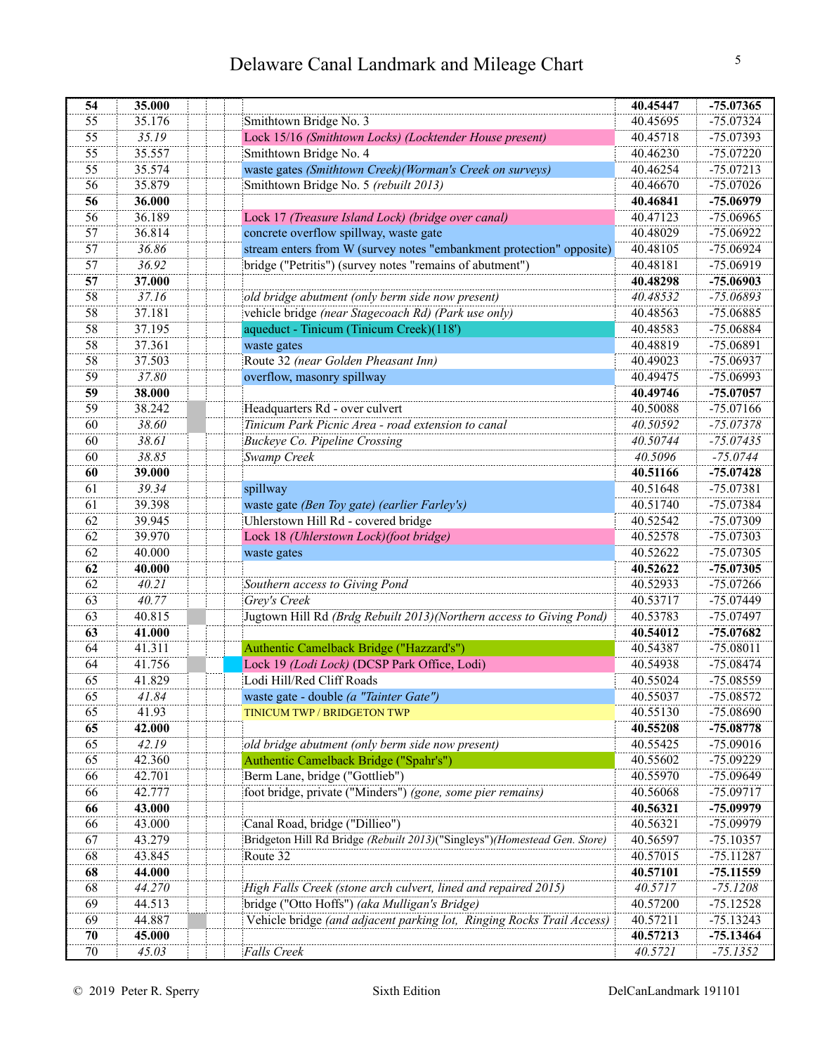| 54 | 35.000 |                                                                           | 40.45447 | $-75.07365$ |
|----|--------|---------------------------------------------------------------------------|----------|-------------|
| 55 | 35.176 | Smithtown Bridge No. 3                                                    | 40.45695 | $-75.07324$ |
| 55 | 35.19  | Lock 15/16 (Smithtown Locks) (Locktender House present)                   | 40.45718 | -75.07393   |
| 55 | 35.557 | Smithtown Bridge No. 4                                                    | 40.46230 | $-75.07220$ |
| 55 | 35.574 | waste gates (Smithtown Creek)(Worman's Creek on surveys)                  | 40.46254 | $-75.07213$ |
| 56 | 35.879 | Smithtown Bridge No. 5 (rebuilt 2013)                                     | 40.46670 | $-75.07026$ |
| 56 | 36.000 |                                                                           | 40.46841 | $-75.06979$ |
| 56 | 36.189 | Lock 17 (Treasure Island Lock) (bridge over canal)                        | 40.47123 | $-75.06965$ |
| 57 | 36.814 | concrete overflow spillway, waste gate                                    | 40.48029 | $-75.06922$ |
| 57 | 36.86  | stream enters from W (survey notes "embankment protection" opposite)      | 40.48105 | $-75.06924$ |
| 57 | 36.92  | bridge ("Petritis") (survey notes "remains of abutment")                  | 40.48181 | $-75.06919$ |
| 57 | 37.000 |                                                                           | 40.48298 | $-75.06903$ |
| 58 | 37.16  | old bridge abutment (only berm side now present)                          | 40.48532 | $-75.06893$ |
| 58 | 37.181 | vehicle bridge (near Stagecoach Rd) (Park use only)                       | 40.48563 | $-75.06885$ |
| 58 | 37.195 | aqueduct - Tinicum (Tinicum Creek)(118')                                  | 40.48583 | $-75.06884$ |
| 58 | 37.361 | waste gates                                                               | 40.48819 | $-75.06891$ |
| 58 | 37.503 | Route 32 (near Golden Pheasant Inn)                                       | 40.49023 | -75.06937   |
| 59 | 37.80  | overflow, masonry spillway                                                | 40.49475 | $-75.06993$ |
| 59 | 38.000 |                                                                           | 40.49746 | $-75.07057$ |
| 59 | 38.242 | Headquarters Rd - over culvert                                            | 40.50088 | $-75.07166$ |
| 60 | 38.60  | Tinicum Park Picnic Area - road extension to canal                        | 40.50592 | $-75.07378$ |
| 60 | 38.61  | Buckeye Co. Pipeline Crossing                                             | 40.50744 | $-75.07435$ |
| 60 | 38.85  | Swamp Creek                                                               | 40.5096  | $-75.0744$  |
| 60 | 39.000 |                                                                           | 40.51166 | $-75.07428$ |
| 61 | 39.34  | spillway                                                                  | 40.51648 | $-75.07381$ |
| 61 | 39.398 | waste gate (Ben Toy gate) (earlier Farley's)                              | 40.51740 | $-75.07384$ |
| 62 | 39.945 | Uhlerstown Hill Rd - covered bridge                                       | 40.52542 | $-75.07309$ |
| 62 | 39.970 | Lock 18 (Uhlerstown Lock)(foot bridge)                                    | 40.52578 | -75.07303   |
| 62 | 40.000 | waste gates                                                               | 40.52622 | -75.07305   |
| 62 | 40.000 |                                                                           | 40.52622 | $-75.07305$ |
| 62 | 40.21  | Southern access to Giving Pond                                            | 40.52933 | $-75.07266$ |
| 63 | 40.77  | Grey's Creek                                                              | 40.53717 | $-75.07449$ |
| 63 | 40.815 | Jugtown Hill Rd (Brdg Rebuilt 2013) (Northern access to Giving Pond)      | 40.53783 | -75.07497   |
| 63 | 41.000 |                                                                           | 40.54012 | $-75.07682$ |
| 64 | 41.311 | Authentic Camelback Bridge ("Hazzard's")                                  | 40.54387 | $-75.08011$ |
| 64 | 41.756 | Lock 19 (Lodi Lock) (DCSP Park Office, Lodi)                              | 40.54938 | $-75.08474$ |
| 65 | 41.829 | Lodi Hill/Red Cliff Roads                                                 | 40.55024 | $-75.08559$ |
| 65 | 41.84  | waste gate - double (a "Tainter Gate")                                    | 40.55037 | -75.08572   |
| 65 | 41.93  | TINICUM TWP / BRIDGETON TWP                                               | 40.55130 | -75.08690   |
| 65 | 42.000 |                                                                           | 40.55208 | $-75.08778$ |
| 65 | 42.19  | old bridge abutment (only berm side now present)                          | 40.55425 | $-75.09016$ |
| 65 | 42.360 | Authentic Camelback Bridge ("Spahr's")                                    | 40.55602 | $-75.09229$ |
| 66 | 42.701 | Berm Lane, bridge ("Gottlieb")                                            | 40.55970 | -75.09649   |
| 66 | 42.777 | foot bridge, private ("Minders") (gone, some pier remains)                | 40.56068 | $-75.09717$ |
| 66 | 43.000 |                                                                           | 40.56321 | -75.09979   |
| 66 | 43.000 | Canal Road, bridge ("Dillieo")                                            | 40.56321 | -75.09979   |
| 67 | 43.279 | Bridgeton Hill Rd Bridge (Rebuilt 2013)("Singleys")(Homestead Gen. Store) | 40.56597 | $-75.10357$ |
| 68 | 43.845 | Route 32                                                                  | 40.57015 | $-75.11287$ |
| 68 | 44.000 |                                                                           | 40.57101 | $-75.11559$ |
| 68 | 44.270 | High Falls Creek (stone arch culvert, lined and repaired 2015)            | 40.5717  | $-75.1208$  |
| 69 | 44.513 | bridge ("Otto Hoffs") (aka Mulligan's Bridge)                             | 40.57200 | $-75.12528$ |
| 69 | 44.887 | Vehicle bridge (and adjacent parking lot, Ringing Rocks Trail Access)     | 40.57211 | $-75.13243$ |
| 70 | 45.000 |                                                                           | 40.57213 | $-75.13464$ |
| 70 | 45.03  | Falls Creek                                                               | 40.5721  | $-75.1352$  |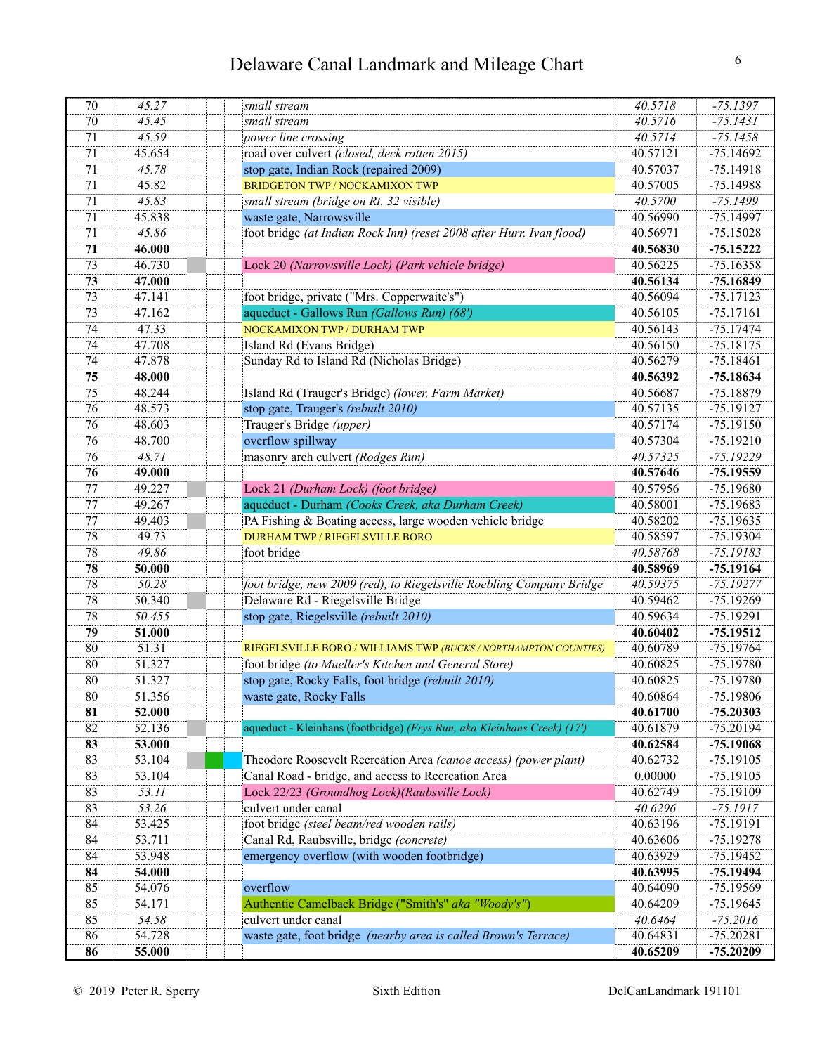| 70 | 45.27  | small stream                                                            | 40.5718             | $-75.1397$                |
|----|--------|-------------------------------------------------------------------------|---------------------|---------------------------|
| 70 | 45.45  | small stream                                                            | 40.5716             | $-75.1431$                |
| 71 | 45.59  | power line crossing                                                     | 40.5714             | $-75.1458$                |
| 71 | 45.654 | road over culvert (closed, deck rotten 2015)                            | 40.57121            | $-75.14692$               |
| 71 | 45.78  | stop gate, Indian Rock (repaired 2009)                                  | 40.57037            | $-75.14918$               |
| 71 | 45.82  | BRIDGETON TWP / NOCKAMIXON TWP                                          | 40.57005            | $-75.14988$               |
| 71 | 45.83  | small stream (bridge on Rt. 32 visible)                                 | 40.5700             | $-75.1499$                |
| 71 | 45.838 | waste gate, Narrowsville                                                | 40.56990            | $-75.14997$               |
| 71 | 45.86  | foot bridge (at Indian Rock Inn) (reset 2008 after Hurr. Ivan flood)    | 40.56971            | $-75.15028$               |
| 71 | 46.000 |                                                                         | 40.56830            | $-75.15222$               |
| 73 | 46.730 | Lock 20 (Narrowsville Lock) (Park vehicle bridge)                       | 40.56225            | $-75.16358$               |
| 73 | 47.000 |                                                                         | 40.56134            | $-75.16849$               |
| 73 | 47.141 | foot bridge, private ("Mrs. Copperwaite's")                             | 40.56094            | $-75.17123$               |
| 73 | 47.162 | aqueduct - Gallows Run (Gallows Run) (68')                              | 40.56105            | $-75.17161$               |
| 74 | 47.33  | NOCKAMIXON TWP / DURHAM TWP                                             | 40.56143            | $-75.17474$               |
| 74 | 47.708 | Island Rd (Evans Bridge)                                                | 40.56150            | $-75.18175$               |
| 74 | 47.878 | Sunday Rd to Island Rd (Nicholas Bridge)                                | 40.56279            | $-75.18461$               |
| 75 | 48.000 |                                                                         | 40.56392            | $-75.18634$               |
| 75 | 48.244 | Island Rd (Trauger's Bridge) (lower, Farm Market)                       | 40.56687            | $-75.18879$               |
| 76 | 48.573 | stop gate, Trauger's (rebuilt 2010)                                     | 40.57135            | $-75.19127$               |
| 76 | 48.603 | Trauger's Bridge (upper)                                                | 40.57174            | $-75.19150$               |
| 76 | 48.700 | overflow spillway                                                       | 40.57304            | $-75.19210$               |
| 76 | 48.71  | masonry arch culvert (Rodges Run)                                       | 40.57325            | $-75.19229$               |
| 76 | 49.000 |                                                                         | 40.57646            | $-75.19559$               |
| 77 | 49.227 | Lock 21 (Durham Lock) (foot bridge)                                     | 40.57956            | $-75.19680$               |
| 77 | 49.267 | aqueduct - Durham (Cooks Creek, aka Durham Creek)                       | 40.58001            | $-75.19683$               |
| 77 | 49.403 | PA Fishing & Boating access, large wooden vehicle bridge                | 40.58202            | $-75.19635$               |
| 78 | 49.73  | <b>DURHAM TWP / RIEGELSVILLE BORO</b>                                   | 40.58597            | $-75.19304$               |
| 78 | 49.86  | foot bridge                                                             | 40.58768            | $-75.19183$               |
| 78 | 50.000 |                                                                         | 40.58969            | $-75.19164$               |
| 78 | 50.28  | foot bridge, new 2009 (red), to Riegelsville Roebling Company Bridge    | 40.59375            | $-75.19277$               |
| 78 | 50.340 | Delaware Rd - Riegelsville Bridge                                       | 40.59462            | $-75.19269$               |
| 78 | 50.455 | stop gate, Riegelsville (rebuilt 2010)                                  | 40.59634            | $-75.19291$               |
| 79 | 51.000 |                                                                         | 40.60402            | $-75.19512$               |
| 80 | 51.31  | RIEGELSVILLE BORO / WILLIAMS TWP (BUCKS / NORTHAMPTON COUNTIES)         | 40.60789            | $-75.19764$               |
| 80 | 51.327 | foot bridge (to Mueller's Kitchen and General Store)                    | 40.60825            | $-75.19780$               |
| 80 | 51.327 | stop gate, Rocky Falls, foot bridge (rebuilt 2010)                      | 40.60825            | $-75.19780$               |
| 80 | 51.356 | waste gate, Rocky Falls                                                 | 40.60864            | -75.19806                 |
| 81 | 52.000 |                                                                         | 40.61700            | $-75.20303$               |
| 82 | 52.136 | aqueduct - Kleinhans (footbridge) (Frys Run, aka Kleinhans Creek) (17') | 40.61879            | $-75.20194$               |
| 83 | 53.000 |                                                                         | 40.62584            | $-75.19068$               |
| 83 | 53.104 | Theodore Roosevelt Recreation Area (canoe access) (power plant)         | 40.62732            | $-75.19105$               |
| 83 | 53.104 | Canal Road - bridge, and access to Recreation Area                      | 0.00000             | $-75.19105$               |
| 83 | 53.11  | Lock 22/23 (Groundhog Lock)(Raubsville Lock)                            | 40.62749            | $-75.19109$               |
| 83 | 53.26  | culvert under canal                                                     | 40.6296             | $-75.1917$                |
| 84 | 53.425 | foot bridge (steel beam/red wooden rails)                               | 40.63196            | $-75.19191$               |
| 84 | 53.711 | Canal Rd, Raubsville, bridge (concrete)                                 | 40.63606            | $-75.19278$               |
| 84 | 53.948 | emergency overflow (with wooden footbridge)                             | 40.63929            | $-75.19452$               |
| 84 | 54.000 |                                                                         | 40.63995            | $-75.19494$               |
| 85 | 54.076 | overflow                                                                | 40.64090            | $-75.19569$               |
| 85 | 54.171 | Authentic Camelback Bridge ("Smith's" aka "Woody's")                    | 40.64209            | $-75.19645$               |
| 85 | 54.58  | culvert under canal                                                     |                     |                           |
| 86 | 54.728 | waste gate, foot bridge (nearby area is called Brown's Terrace)         | 40.6464<br>40.64831 | $-75.2016$<br>$-75.20281$ |
|    |        |                                                                         |                     |                           |
| 86 | 55.000 |                                                                         | 40.65209            | $-75.20209$               |